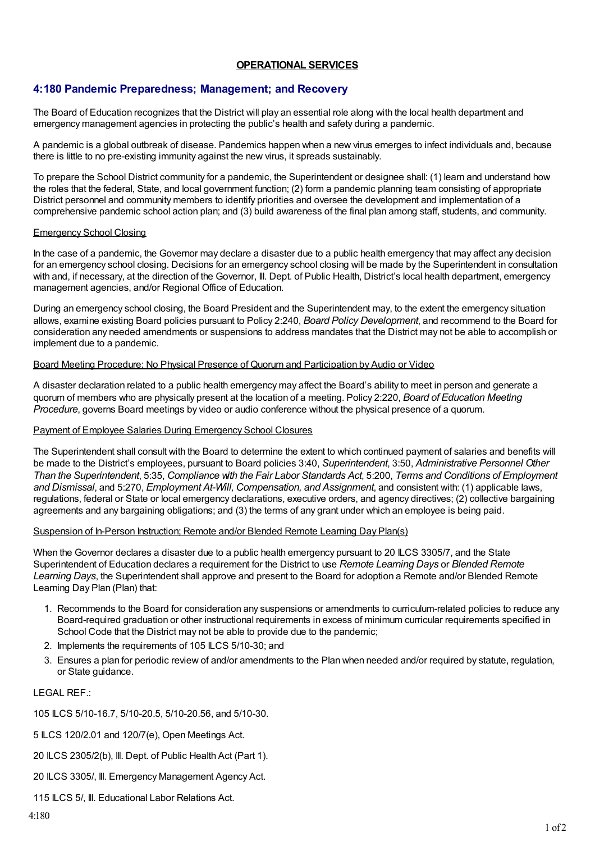## **OPERATIONAL SERVICES**

# **4:180 Pandemic Preparedness; Management; and Recovery**

The Board of Education recognizes that the District will play an essential role along with the local health department and emergency management agencies in protecting the public's health and safety during a pandemic.

A pandemic is a global outbreak of disease. Pandemics happen when a new virus emerges to infect individuals and, because there is little to no pre-existing immunity against the new virus, it spreads sustainably.

To prepare the School District community for a pandemic, the Superintendent or designee shall: (1) learn and understand how the roles that the federal, State, and local government function; (2) form a pandemic planning team consisting of appropriate District personnel and community members to identify priorities and oversee the development and implementation of a comprehensive pandemic school action plan; and (3) build awareness of the final plan among staff, students, and community.

### Emergency School Closing

In the case of a pandemic, the Governor may declare a disaster due to a public health emergency that may affect any decision for an emergency school closing. Decisions for an emergency school closing will be made by the Superintendent in consultation with and, if necessary, at the direction of the Governor, III. Dept. of Public Health, District's local health department, emergency management agencies, and/or Regional Office of Education.

During an emergency school closing, the Board President and the Superintendent may, to the extent the emergency situation allows, examine existing Board policies pursuant to Policy 2:240, *Board Policy Development*, and recommend to the Board for consideration any needed amendments or suspensions to address mandates that the District may not be able to accomplish or implement due to a pandemic.

#### Board Meeting Procedure; No Physical Presence of Quorum and Participation by Audio or Video

A disaster declaration related to a public health emergency may affect the Board's ability to meet in person and generate a quorum of members who are physically present at the location of a meeting. Policy 2:220, *Board of Education Meeting Procedure*, governs Board meetings by video or audio conference without the physical presence of a quorum.

#### Payment of Employee Salaries During Emergency School Closures

The Superintendent shall consult with the Board to determine the extent to which continued payment of salaries and benefits will be made to the District's employees, pursuant to Board policies 3:40, *Superintendent*, 3:50, *Administrative Personnel Other Than the Superintendent*, 5:35, *Compliance with the Fair Labor Standards Act*, 5:200, *Terms and Conditions of Employment and Dismissal*, and 5:270, *Employment At-Will, Compensation, and Assignment*, and consistent with: (1) applicable laws, regulations, federal or State or local emergency declarations, executive orders, and agency directives; (2) collective bargaining agreements and any bargaining obligations; and (3) the terms of any grant under which an employee is being paid.

## Suspension of In-Person Instruction; Remote and/or Blended Remote Learning Day Plan(s)

When the Governor declares a disaster due to a public health emergency pursuant to 20 ILCS 3305/7, and the State Superintendent of Education declares a requirement for the District to use *Remote Learning Days* or *Blended Remote Learning Days*, the Superintendent shall approve and present to the Board for adoption a Remote and/or Blended Remote Learning Day Plan (Plan) that:

- 1. Recommends to the Board for consideration any suspensions or amendments to curriculum-related policies to reduce any Board-required graduation or other instructional requirements in excess of minimum curricular requirements specified in School Code that the District may not be able to provide due to the pandemic;
- 2. Implements the requirements of 105 ILCS 5/10-30; and
- 3. Ensures a plan for periodic review of and/or amendments to the Plan when needed and/or required by statute, regulation, or State guidance.

LEGAL REF.:

105 ILCS 5/10-16.7, 5/10-20.5, 5/10-20.56, and 5/10-30.

5 ILCS 120/2.01 and 120/7(e), Open Meetings Act.

- 20 ILCS 2305/2(b), Ill. Dept. of Public Health Act (Part 1).
- 20 ILCS 3305/, Ill. Emergency Management Agency Act.

115 ILCS 5/, III. Educational Labor Relations Act.